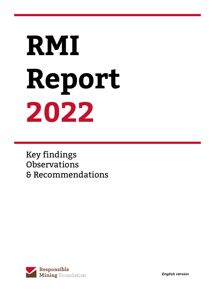# **RMI Report 2022**

Key findings Observations & Recommendations



*English version*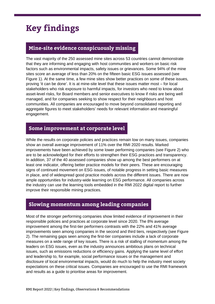# **Key findings**

## **Mine-site evidence conspicuously missing**

The vast majority of the 250 assessed mine sites across 53 countries cannot demonstrate that they are informing and engaging with host communities and workers on basic risk factors such as environmental impacts, safety issues or grievances. Some 94% of the mine sites score an average of less than 20% on the fifteen basic ESG issues assessed (see Figure 1). At the same time, a few mine sites show better practices on some of these issues, proving 'it can be done'. It is at mine-site level that these issues matter most – for local stakeholders who risk exposure to harmful impacts, for investors who need to know about asset-level risks, for Board members and senior executives to know if risks are being well managed, and for companies seeking to show respect for their neighbours and host communities. All companies are encouraged to move beyond consolidated reporting and aggregate figures to meet stakeholders' needs for relevant information and meaningful engagement.

## **Some improvement at corporate level**

While the results on corporate policies and practices remain low on many issues, companies show an overall average improvement of 11% over the RMI 2020 results. Marked improvements have been achieved by some lower performing companies (see Figure 2) who are to be acknowledged for their efforts to strengthen their ESG practices and transparency. In addition, 37 of the 40 assessed companies show up among the best performers on at least one indicator, offering better practice models for their peers. These are encouraging signs of continued movement on ESG issues, of notable progress in setting basic measures in place, and of widespread good practice models across the different issues. There are now ample opportunities for industry-wide learning on ESG performance. All companies across the industry can use the learning tools embedded in the RMI 2022 digital report to further improve their responsible mining practices.

## **Slowing momentum among leading companies**

Most of the stronger performing companies show limited evidence of improvement in their responsible policies and practices at corporate level since 2020. The 8% average improvement among the first-tier performers contrasts with the 22% and 41% average improvements seen among companies in the second and third tiers, respectively (see Figure 2). The remaining gaps seen among the first-tier companies include a lack of corporate measures on a wide range of key issues. There is a risk of stalling of momentum among the leaders on ESG issues, even as the industry announces ambitious plans on technical issues, such as emissions reductions or efficiency gains. Applying the same level of effort and leadership to, for example, social performance issues or the management and disclosure of local environmental impacts, would do much to help the industry meet society expectations on these critical issues. Companies are encouraged to use the RMI framework and results as a guide to prioritise areas for improvement.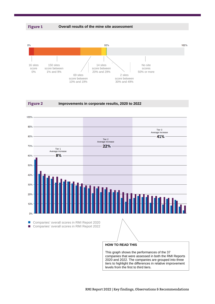

**Figure 1 Overall results of the mine site assessment**







companies that were assessed in both the RMI Reports 2020 and 2022. The companies are grouped into three tiers to highlight the differences in relative improvement levels from the first to third tiers.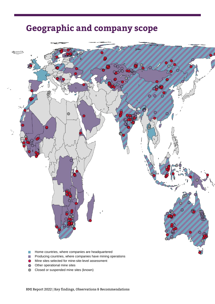# **Geographic and company scope**



- Mine sites selected for mine-site-level assessment
- Other operational mine sites  $\bigcirc$
- Closed or suspended mine sites (known) $\bigcirc$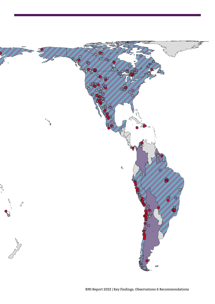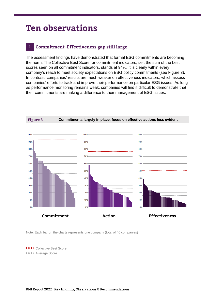## **Ten observations**

## **1 Commitment–Effectiveness gap still large**

The assessment findings have demonstrated that formal ESG commitments are becoming the norm. The Collective Best Score for commitment indicators, i.e., the sum of the best scores seen on all commitment indicators, stands at 94%. It is clearly within every company's reach to meet society expectations on ESG policy commitments (see Figure 3). In contrast, companies' results are much weaker on effectiveness indicators, which assess companies' efforts to track and improve their performance on particular ESG issues. As long as performance monitoring remains weak, companies will find it difficult to demonstrate that their commitments are making a difference to their management of ESG issues.



Note: Each bar on the charts represents one company (total of 40 companies)

**\*\*\*\*\*** Collective Best Score \*\*\*\*\* Average Score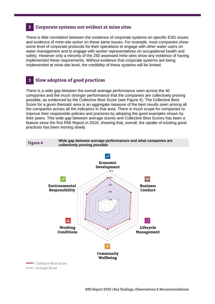## **2 Corporate systems not evident at mine sites**

There is little correlation between the existence of corporate systems on specific ESG issues and evidence of mine-site action on these same issues. For example, most companies show some level of corporate protocols for their operations to engage with other water users on water management and to engage with worker representatives on occupational health and safety. However only a minority of the 250 assessed mine sites show any evidence of having implemented these requirements. Without evidence that corporate systems are being implemented at mine-site level, the credibility of these systems will be limited.

## **3 Slow adoption of good practices**

There is a wide gap between the overall average performance seen across the 40 companies and the much stronger performance that the companies are collectively proving possible, as evidenced by the Collective Best Score (see Figure 4). The Collective Best Score for a given thematic area is an aggregate measure of the best results seen among all the companies across all the indicators in that area. There is much scope for companies to improve their responsible policies and practices by adopting the good examples shown by their peers. This wide gap between average scores and Collective Best Scores has been a feature since the first RMI Report in 2018, showing that, overall, the uptake of existing good practices has been moving slowly.

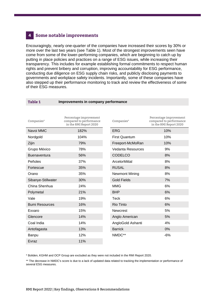#### **4 Some notable improvements**

Encouragingly, nearly one-quarter of the companies have increased their scores by 30% or more over the last two years (see Table 1). Most of the strongest improvements seen have come from some of the lower-performing companies, which are beginning to catch up by putting in place policies and practices on a range of ESG issues, while increasing their transparency. This includes for example establishing formal commitments to respect human rights and prevent bribery and corruption, improving accountability for ESG performance, conducting due diligence on ESG supply chain risks, and publicly disclosing payments to governments and workplace safety incidents. Importantly, some of these companies have also stepped up their performance monitoring to track and review the effectiveness of some of their ESG measures.

#### **Table 1 Improvements in company performance**

| Companies*            | Percentage improvement<br>compared to performance<br>in the RMI Report 2020 | Companies*               | Percentage improvement<br>compared to performance<br>in the RMI Report 2020 |
|-----------------------|-----------------------------------------------------------------------------|--------------------------|-----------------------------------------------------------------------------|
| Navoi MMC             | 182%                                                                        | <b>ERG</b>               | 10%                                                                         |
| Nordgold              | 104%                                                                        | <b>First Quantum</b>     | 10%                                                                         |
| Zijin                 | 79%                                                                         | Freeport-McMoRan         | 10%                                                                         |
| Grupo México          | 78%                                                                         | <b>Vedanta Resources</b> | 9%                                                                          |
| <b>Buenaventura</b>   | 56%                                                                         | <b>CODELCO</b>           | 8%                                                                          |
| Peñoles               | 37%                                                                         | ArcelorMittal            | 8%                                                                          |
| Fortescue             | 35%                                                                         | <b>RUSAL</b>             | 8%                                                                          |
| Orano                 | 35%                                                                         | <b>Newmont Mining</b>    | 8%                                                                          |
| Sibanye-Stillwater    | 30%                                                                         | <b>Gold Fields</b>       | 7%                                                                          |
| China Shenhua         | 24%                                                                         | <b>MMG</b>               | 6%                                                                          |
| Polymetal             | 21%                                                                         | <b>BHP</b>               | 6%                                                                          |
| Vale                  | 19%                                                                         | Teck                     | 6%                                                                          |
| <b>Bumi Resources</b> | 16%                                                                         | Rio Tinto                | 6%                                                                          |
| Exxaro                | 15%                                                                         | <b>Newcrest</b>          | 5%                                                                          |
| Glencore              | 14%                                                                         | Anglo American           | 5%                                                                          |
| Coal India            | 14%                                                                         | AngloGold Ashanti        | 4%                                                                          |
| Antofagasta           | 13%                                                                         | <b>Barrick</b>           | 0%                                                                          |
| Banpu                 | 12%                                                                         | NMDC**                   | $-6%$                                                                       |
| Evraz                 | 11%                                                                         |                          |                                                                             |

\* Boliden, KGHM and OCP Group are excluded as they were not included in the RMI Report 2020.

\*\* The decrease in NMDC's score is due to a lack of updated data related to tracking the implementation or performance of several ESG measures.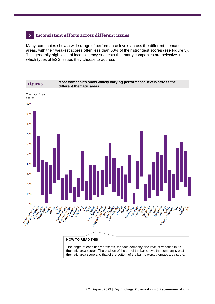## **5 Inconsistent efforts across different issues**

Many companies show a wide range of performance levels across the different thematic areas, with their weakest scores often less than 50% of their strongest scores (see Figure 5). This generally high level of inconsistency suggests that many companies are selective in which types of ESG issues they choose to address.

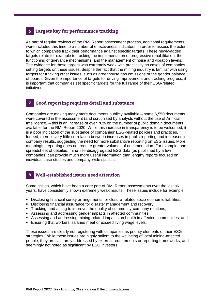## **6 Targets key for performance tracking**

As part of regular reviews of the RMI Report assessment process, additional requirements were included this time to a number of effectiveness indicators, in order to assess the extent to which companies track their performance against specific targets. These newly-added targets relate for example to tracking the implementation of progressive rehabilitation, the functioning of grievance mechanisms, and the management of noise and vibration levels. The evidence for these targets was extremely weak with practically no cases of companies setting targets on these issues, despite the fact that the mining industry is familiar with using targets for tracking other issues, such as greenhouse gas emissions or the gender balance of boards. Given the importance of targets for driving improvement and tracking progress, it is important that companies set specific targets for the full range of their ESG-related initiatives.

## **7 Good reporting requires detail and substance**

Companies are making many more documents publicly available – some 6,550 documents were covered in the assessment (and scrutinised by analysts without the use of Artificial Intelligence) – this is an increase of over 70% on the number of public domain documents available for the RMI Report 2020. While this increase in transparency is to be welcomed, it is a poor indication of the substance of companies' ESG-related policies and practices. Indeed, there is very little correlation between increases in public reporting and increases in company results, suggesting the need for more substantive reporting on ESG issues. More meaningful reporting does not require greater volumes of documentation. For example, one spreadsheet of detailed, mine-site-disaggregated ESG data (as published by a few companies) can provide much more useful information than lengthy reports focused on individual case studies and company-wide statistics.

## **8 Well-established issues need attention**

Some issues, which have been a core part of RMI Report assessments over the last six years, have consistently shown extremely weak results. These issues include for example:

- Disclosing financial surety arrangements for closure-related socio-economic liabilities;
- Disclosing financial assurance for disaster management and recovery;
- Tracking, and acting to improve, the quality of community-company relations;
- Assessing and addressing gender impacts in affected communities;
- Assessing and addressing mining-related impacts on health in affected communities; and
- **Ensuring that workers' salaries meet or exceed living wage levels.**

These issues are clearly not registering with companies as priority elements of their ESG strategies. While these issues are highly salient to the wellbeing of local mining-affected people, they are still rarely addressed by external requirements or reporting frameworks, and seemingly not noted as significant by ESG investors.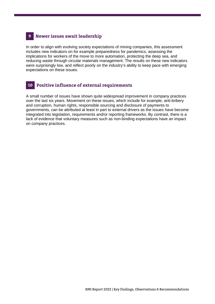## **9 Newer issues await leadership**

In order to align with evolving society expectations of mining companies, this assessment includes new indicators on for example preparedness for pandemics, assessing the implications for workers of the move to more automation, protecting the deep sea, and reducing waste through circular materials management. The results on these new indicators were surprisingly low, and reflect poorly on the industry's ability to keep pace with emerging expectations on these issues.

## **10 Positive influence of external requirements**

A small number of issues have shown quite widespread improvement in company practices over the last six years. Movement on these issues, which include for example, anti-bribery and corruption, human rights, responsible sourcing and disclosure of payments to governments, can be attributed at least in part to external drivers as the issues have become integrated into legislation, requirements and/or reporting frameworks. By contrast, there is a lack of evidence that voluntary measures such as non-binding expectations have an impact on company practices.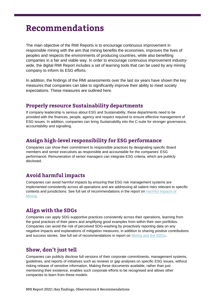## **Recommendations**

The main objective of the RMI Reports is to encourage continuous improvement in responsible mining with the aim that mining benefits the economies, improves the lives of peoples and respects the environments of producing countries, while also benefiting companies in a fair and viable way. In order to encourage continuous improvement industrywide, the digital RMI Report includes a set of learning tools that can be used by any mining company to inform its ESG efforts.

In addition, the findings of the RMI assessments over the last six years have shown the key measures that companies can take to significantly improve their ability to meet society expectations. These measures are outlined here.

## **Properly resource Sustainability departments**

If company leadership is serious about ESG and Sustainability, these departments need to be provided with the finances, people, agency and respect required to ensure effective management of ESG issues. In addition, companies can bring Sustainability into the C-suite for stronger governance, accountability and signalling.

## **Assign high-level responsibility for ESG performance**

Companies can show their commitment to responsible practices by designating specific Board members and senior executives as responsible and accountable for the companies' ESG performance. Remuneration of senior managers can integrate ESG criteria, which are publicly disclosed.

## **Avoid harmful impacts**

Companies can avoid harmful impacts by ensuring that ESG risk management systems are implemented consistently across all operations and are addressing all salient risks relevant to specific contexts and jurisdictions. See full set of recommendations in the report on Harmful Impacts of [Mining.](https://www.responsibleminingfoundation.org/harmful-impacts-mining/)

## **Align with the SDGs**

Companies can apply SDG-supportive practices consistently across their operations, learning from the good practices of their peers and amplifying good examples from within their own portfolios. Companies can avoid the risk of perceived SDG-washing by proactively reporting data on any negative impacts and explanations of mitigation measures, in addition to sharing positive contributions and success stories. See full set of recommendations in report on [Mining and the SDGs.](https://www.responsibleminingfoundation.org/mining-and-the-sdgs/)

## **Show, don't just tell**

Companies can publicly disclose full versions of their corporate commitments, management systems, guidelines, and reports of initiatives such as reviews or gap analyses on specific ESG issues, without risking release of sensitive information. Making these documents available, rather than just mentioning their existence, enables such corporate efforts to be recognised and allows other companies to learn from these models.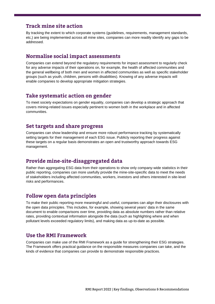## **Track mine site action**

By tracking the extent to which corporate systems (guidelines, requirements, management standards, etc,) are being implemented across all mine sites, companies can more readily identify any gaps to be addressed.

## **Normalise social impact assessments**

Companies can extend beyond the regulatory requirements for impact assessment to regularly check for any adverse impacts of their operations on, for example, the health of affected communities and the general wellbeing of both men and women in affected communities as well as specific stakeholder groups (such as youth, children, persons with disabilities). Knowing of any adverse impacts will enable companies to develop appropriate mitigation strategies.

## **Take systematic action on gender**

To meet society expectations on gender equality, companies can develop a strategic approach that covers mining-related issues especially pertinent to women both in the workplace and in affected communities.

## **Set targets and share progress**

Companies can show leadership and ensure more robust performance tracking by systematically setting targets for their management of each ESG issue. Publicly reporting their progress against these targets on a regular basis demonstrates an open and trustworthy approach towards ESG management.

## **Provide mine-site-disaggregated data**

Rather than aggregating ESG data from their operations to show only company-wide statistics in their public reporting, companies can more usefully provide the mine-site-specific data to meet the needs of stakeholders including affected communities, workers, investors and others interested in site-level risks and performances.

## **Follow open data principles**

To make their public reporting more meaningful and useful, companies can align their disclosures with the open data principles. This includes, for example, showing several years' data in the same document to enable comparisons over time, providing data as absolute numbers rather than relative rates, providing contextual information alongside the data (such as highlighting where and when pollutant levels exceeded regulatory limits), and making data as up-to-date as possible.

## **Use the RMI Framework**

Companies can make use of the RMI Framework as a guide for strengthening their ESG strategies. The Framework offers practical guidance on the responsible measures companies can take, and the kinds of evidence that companies can provide to demonstrate responsible practices.